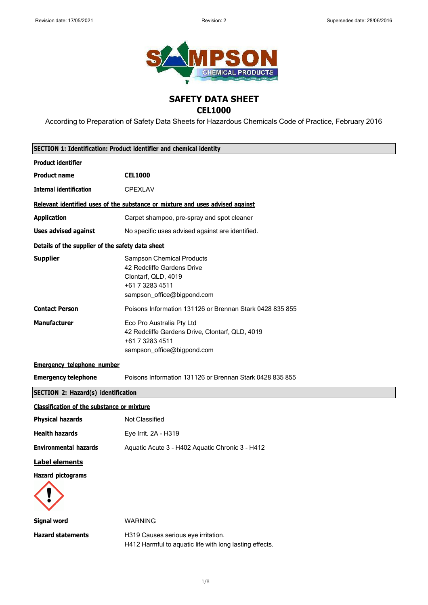

# **SAFETY DATA SHEET**

### **CEL1000**

According to Preparation of Safety Data Sheets for Hazardous Chemicals Code of Practice, February 2016

| SECTION 1: Identification: Product identifier and chemical identity |                                                                                                                                 |
|---------------------------------------------------------------------|---------------------------------------------------------------------------------------------------------------------------------|
| <b>Product identifier</b>                                           |                                                                                                                                 |
| <b>Product name</b>                                                 | <b>CEL1000</b>                                                                                                                  |
| <b>Internal identification</b>                                      | <b>CPEXLAV</b>                                                                                                                  |
|                                                                     | Relevant identified uses of the substance or mixture and uses advised against                                                   |
| <b>Application</b>                                                  | Carpet shampoo, pre-spray and spot cleaner                                                                                      |
| <b>Uses advised against</b>                                         | No specific uses advised against are identified.                                                                                |
| Details of the supplier of the safety data sheet                    |                                                                                                                                 |
| <b>Supplier</b>                                                     | Sampson Chemical Products<br>42 Redcliffe Gardens Drive<br>Clontarf, QLD, 4019<br>+61 7 3283 4511<br>sampson_office@bigpond.com |
| <b>Contact Person</b>                                               | Poisons Information 131126 or Brennan Stark 0428 835 855                                                                        |
| <b>Manufacturer</b>                                                 | Eco Pro Australia Pty Ltd<br>42 Redcliffe Gardens Drive, Clontarf, QLD, 4019<br>+61 7 3283 4511<br>sampson_office@bigpond.com   |
| <b>Emergency telephone number</b>                                   |                                                                                                                                 |
| <b>Emergency telephone</b>                                          | Poisons Information 131126 or Brennan Stark 0428 835 855                                                                        |
| <b>SECTION 2: Hazard(s) identification</b>                          |                                                                                                                                 |
| <b>Classification of the substance or mixture</b>                   |                                                                                                                                 |
| <b>Physical hazards</b>                                             | Not Classified                                                                                                                  |
| <b>Health hazards</b>                                               | Eye Irrit. 2A - H319                                                                                                            |
| <b>Environmental hazards</b>                                        | Aquatic Acute 3 - H402 Aquatic Chronic 3 - H412                                                                                 |
| <b>Label elements</b>                                               |                                                                                                                                 |
| <b>Hazard pictograms</b>                                            |                                                                                                                                 |
| <b>Signal word</b>                                                  | <b>WARNING</b>                                                                                                                  |
| <b>Hazard statements</b>                                            | H319 Causes serious eye irritation.<br>H412 Harmful to aquatic life with long lasting effects.                                  |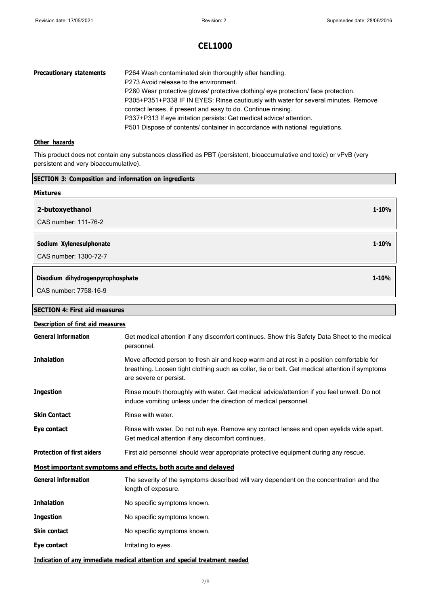| <b>Precautionary statements</b> | P264 Wash contaminated skin thoroughly after handling.                             |
|---------------------------------|------------------------------------------------------------------------------------|
|                                 | P273 Avoid release to the environment.                                             |
|                                 | P280 Wear protective gloves/ protective clothing/ eye protection/ face protection. |
|                                 | P305+P351+P338 IF IN EYES: Rinse cautiously with water for several minutes. Remove |
|                                 | contact lenses, if present and easy to do. Continue rinsing.                       |
|                                 | P337+P313 If eye irritation persists: Get medical advice/attention.                |
|                                 | P501 Dispose of contents/ container in accordance with national regulations.       |

### **Other hazards**

This product does not contain any substances classified as PBT (persistent, bioaccumulative and toxic) or vPvB (very persistent and very bioaccumulative).

| <b>SECTION 3: Composition and information on ingredients</b> |                                                                                                                                                                                                                        |
|--------------------------------------------------------------|------------------------------------------------------------------------------------------------------------------------------------------------------------------------------------------------------------------------|
| <b>Mixtures</b>                                              |                                                                                                                                                                                                                        |
| 2-butoxyethanol                                              | $1 - 10%$                                                                                                                                                                                                              |
| CAS number: 111-76-2                                         |                                                                                                                                                                                                                        |
| Sodium Xylenesulphonate                                      | $1 - 10%$                                                                                                                                                                                                              |
| CAS number: 1300-72-7                                        |                                                                                                                                                                                                                        |
| Disodium dihydrogenpyrophosphate                             | $1 - 10%$                                                                                                                                                                                                              |
| CAS number: 7758-16-9                                        |                                                                                                                                                                                                                        |
|                                                              |                                                                                                                                                                                                                        |
| <b>SECTION 4: First aid measures</b>                         |                                                                                                                                                                                                                        |
| <b>Description of first aid measures</b>                     |                                                                                                                                                                                                                        |
| <b>General information</b>                                   | Get medical attention if any discomfort continues. Show this Safety Data Sheet to the medical<br>personnel.                                                                                                            |
| <b>Inhalation</b>                                            | Move affected person to fresh air and keep warm and at rest in a position comfortable for<br>breathing. Loosen tight clothing such as collar, tie or belt. Get medical attention if symptoms<br>are severe or persist. |
| <b>Ingestion</b>                                             | Rinse mouth thoroughly with water. Get medical advice/attention if you feel unwell. Do not<br>induce vomiting unless under the direction of medical personnel.                                                         |
| <b>Skin Contact</b>                                          | Rinse with water.                                                                                                                                                                                                      |
| Eye contact                                                  | Rinse with water. Do not rub eye. Remove any contact lenses and open eyelids wide apart.<br>Get medical attention if any discomfort continues.                                                                         |
| <b>Protection of first aiders</b>                            | First aid personnel should wear appropriate protective equipment during any rescue.                                                                                                                                    |
|                                                              | Most important symptoms and effects, both acute and delayed                                                                                                                                                            |
| <b>General information</b>                                   | The severity of the symptoms described will vary dependent on the concentration and the<br>length of exposure.                                                                                                         |
| <b>Inhalation</b>                                            | No specific symptoms known.                                                                                                                                                                                            |

- **Ingestion** No specific symptoms known.
- **Skin contact** No specific symptoms known.
- **Eye contact I**rritating to eyes.
- **Indication of any immediate medical attention and special treatment needed**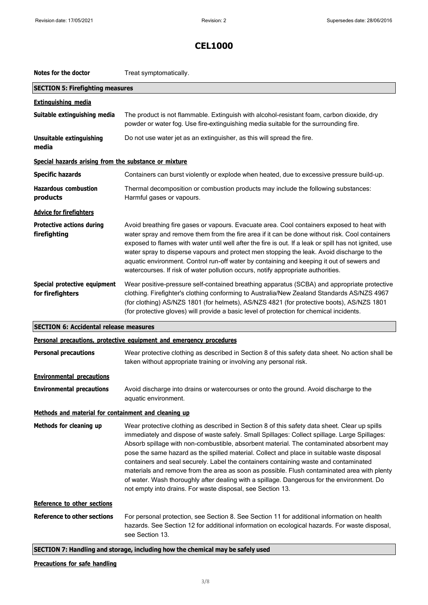| Notes for the doctor                                  | Treat symptomatically.                                                                                                                                                                                                                                                                                                                                                                                                                                                                                                                                                                                                                                                                                                                     |
|-------------------------------------------------------|--------------------------------------------------------------------------------------------------------------------------------------------------------------------------------------------------------------------------------------------------------------------------------------------------------------------------------------------------------------------------------------------------------------------------------------------------------------------------------------------------------------------------------------------------------------------------------------------------------------------------------------------------------------------------------------------------------------------------------------------|
| <b>SECTION 5: Firefighting measures</b>               |                                                                                                                                                                                                                                                                                                                                                                                                                                                                                                                                                                                                                                                                                                                                            |
| <b>Extinguishing media</b>                            |                                                                                                                                                                                                                                                                                                                                                                                                                                                                                                                                                                                                                                                                                                                                            |
| Suitable extinguishing media                          | The product is not flammable. Extinguish with alcohol-resistant foam, carbon dioxide, dry<br>powder or water fog. Use fire-extinguishing media suitable for the surrounding fire.                                                                                                                                                                                                                                                                                                                                                                                                                                                                                                                                                          |
| <b>Unsuitable extinguishing</b><br>media              | Do not use water jet as an extinguisher, as this will spread the fire.                                                                                                                                                                                                                                                                                                                                                                                                                                                                                                                                                                                                                                                                     |
| Special hazards arising from the substance or mixture |                                                                                                                                                                                                                                                                                                                                                                                                                                                                                                                                                                                                                                                                                                                                            |
| <b>Specific hazards</b>                               | Containers can burst violently or explode when heated, due to excessive pressure build-up.                                                                                                                                                                                                                                                                                                                                                                                                                                                                                                                                                                                                                                                 |
| <b>Hazardous combustion</b><br>products               | Thermal decomposition or combustion products may include the following substances:<br>Harmful gases or vapours.                                                                                                                                                                                                                                                                                                                                                                                                                                                                                                                                                                                                                            |
| <b>Advice for firefighters</b>                        |                                                                                                                                                                                                                                                                                                                                                                                                                                                                                                                                                                                                                                                                                                                                            |
| <b>Protective actions during</b><br>firefighting      | Avoid breathing fire gases or vapours. Evacuate area. Cool containers exposed to heat with<br>water spray and remove them from the fire area if it can be done without risk. Cool containers<br>exposed to flames with water until well after the fire is out. If a leak or spill has not ignited, use<br>water spray to disperse vapours and protect men stopping the leak. Avoid discharge to the<br>aquatic environment. Control run-off water by containing and keeping it out of sewers and<br>watercourses. If risk of water pollution occurs, notify appropriate authorities.                                                                                                                                                       |
| Special protective equipment<br>for firefighters      | Wear positive-pressure self-contained breathing apparatus (SCBA) and appropriate protective<br>clothing. Firefighter's clothing conforming to Australia/New Zealand Standards AS/NZS 4967<br>(for clothing) AS/NZS 1801 (for helmets), AS/NZS 4821 (for protective boots), AS/NZS 1801<br>(for protective gloves) will provide a basic level of protection for chemical incidents.                                                                                                                                                                                                                                                                                                                                                         |
| <b>SECTION 6: Accidental release measures</b>         |                                                                                                                                                                                                                                                                                                                                                                                                                                                                                                                                                                                                                                                                                                                                            |
|                                                       | Personal precautions, protective equipment and emergency procedures                                                                                                                                                                                                                                                                                                                                                                                                                                                                                                                                                                                                                                                                        |
| <b>Personal precautions</b>                           | Wear protective clothing as described in Section 8 of this safety data sheet. No action shall be<br>taken without appropriate training or involving any personal risk.                                                                                                                                                                                                                                                                                                                                                                                                                                                                                                                                                                     |
| <b>Environmental precautions</b>                      |                                                                                                                                                                                                                                                                                                                                                                                                                                                                                                                                                                                                                                                                                                                                            |
| <b>Environmental precautions</b>                      | Avoid discharge into drains or watercourses or onto the ground. Avoid discharge to the<br>aquatic environment.                                                                                                                                                                                                                                                                                                                                                                                                                                                                                                                                                                                                                             |
| Methods and material for containment and cleaning up  |                                                                                                                                                                                                                                                                                                                                                                                                                                                                                                                                                                                                                                                                                                                                            |
| Methods for cleaning up                               | Wear protective clothing as described in Section 8 of this safety data sheet. Clear up spills<br>immediately and dispose of waste safely. Small Spillages: Collect spillage. Large Spillages:<br>Absorb spillage with non-combustible, absorbent material. The contaminated absorbent may<br>pose the same hazard as the spilled material. Collect and place in suitable waste disposal<br>containers and seal securely. Label the containers containing waste and contaminated<br>materials and remove from the area as soon as possible. Flush contaminated area with plenty<br>of water. Wash thoroughly after dealing with a spillage. Dangerous for the environment. Do<br>not empty into drains. For waste disposal, see Section 13. |
| Reference to other sections                           |                                                                                                                                                                                                                                                                                                                                                                                                                                                                                                                                                                                                                                                                                                                                            |
| <b>Reference to other sections</b>                    | For personal protection, see Section 8. See Section 11 for additional information on health<br>hazards. See Section 12 for additional information on ecological hazards. For waste disposal,<br>see Section 13.                                                                                                                                                                                                                                                                                                                                                                                                                                                                                                                            |
|                                                       | SECTION 7: Handling and storage, including how the chemical may be safely used                                                                                                                                                                                                                                                                                                                                                                                                                                                                                                                                                                                                                                                             |

### **Precautions for safe handling**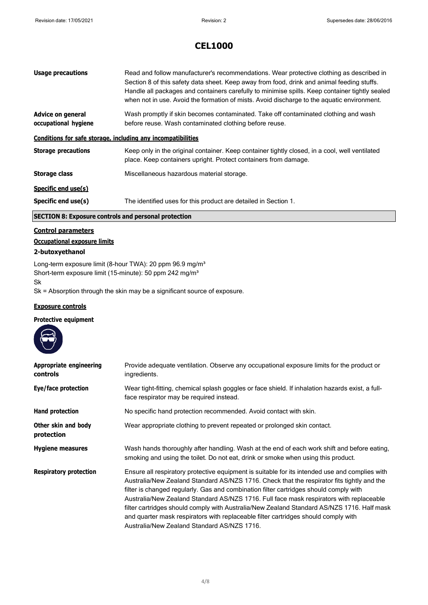| <b>Usage precautions</b>                                     | Read and follow manufacturer's recommendations. Wear protective clothing as described in<br>Section 8 of this safety data sheet. Keep away from food, drink and animal feeding stuffs.<br>Handle all packages and containers carefully to minimise spills. Keep container tightly sealed<br>when not in use. Avoid the formation of mists. Avoid discharge to the aquatic environment. |
|--------------------------------------------------------------|----------------------------------------------------------------------------------------------------------------------------------------------------------------------------------------------------------------------------------------------------------------------------------------------------------------------------------------------------------------------------------------|
| <b>Advice on general</b><br>occupational hygiene             | Wash promptly if skin becomes contaminated. Take off contaminated clothing and wash<br>before reuse. Wash contaminated clothing before reuse.                                                                                                                                                                                                                                          |
| Conditions for safe storage, including any incompatibilities |                                                                                                                                                                                                                                                                                                                                                                                        |
| <b>Storage precautions</b>                                   | Keep only in the original container. Keep container tightly closed, in a cool, well ventilated<br>place. Keep containers upright. Protect containers from damage.                                                                                                                                                                                                                      |
| <b>Storage class</b>                                         | Miscellaneous hazardous material storage.                                                                                                                                                                                                                                                                                                                                              |
| Specific end use(s)                                          |                                                                                                                                                                                                                                                                                                                                                                                        |
| Specific end use(s)                                          | The identified uses for this product are detailed in Section 1.                                                                                                                                                                                                                                                                                                                        |

### **SECTION 8: Exposure controls and personal protection**

### **Control parameters**

#### **Occupational exposure limits**

#### **2-butoxyethanol**

Long-term exposure limit (8-hour TWA): 20 ppm 96.9 mg/m<sup>3</sup> Short-term exposure limit (15-minute): 50 ppm 242 mg/m<sup>3</sup> Sk

Sk = Absorption through the skin may be a significant source of exposure.

#### **Exposure controls**

#### **Protective equipment**



| Appropriate engineering<br>controls | Provide adequate ventilation. Observe any occupational exposure limits for the product or<br>ingredients.                                                                                                                                                                                                                                                                                                                                                                                                                                                                                                           |
|-------------------------------------|---------------------------------------------------------------------------------------------------------------------------------------------------------------------------------------------------------------------------------------------------------------------------------------------------------------------------------------------------------------------------------------------------------------------------------------------------------------------------------------------------------------------------------------------------------------------------------------------------------------------|
| Eye/face protection                 | Wear tight-fitting, chemical splash goggles or face shield. If inhalation hazards exist, a full-<br>face respirator may be required instead.                                                                                                                                                                                                                                                                                                                                                                                                                                                                        |
| Hand protection                     | No specific hand protection recommended. Avoid contact with skin.                                                                                                                                                                                                                                                                                                                                                                                                                                                                                                                                                   |
| Other skin and body<br>protection   | Wear appropriate clothing to prevent repeated or prolonged skin contact.                                                                                                                                                                                                                                                                                                                                                                                                                                                                                                                                            |
| <b>Hygiene measures</b>             | Wash hands thoroughly after handling. Wash at the end of each work shift and before eating,<br>smoking and using the toilet. Do not eat, drink or smoke when using this product.                                                                                                                                                                                                                                                                                                                                                                                                                                    |
| <b>Respiratory protection</b>       | Ensure all respiratory protective equipment is suitable for its intended use and complies with<br>Australia/New Zealand Standard AS/NZS 1716. Check that the respirator fits tightly and the<br>filter is changed regularly. Gas and combination filter cartridges should comply with<br>Australia/New Zealand Standard AS/NZS 1716. Full face mask respirators with replaceable<br>filter cartridges should comply with Australia/New Zealand Standard AS/NZS 1716. Half mask<br>and quarter mask respirators with replaceable filter cartridges should comply with<br>Australia/New Zealand Standard AS/NZS 1716. |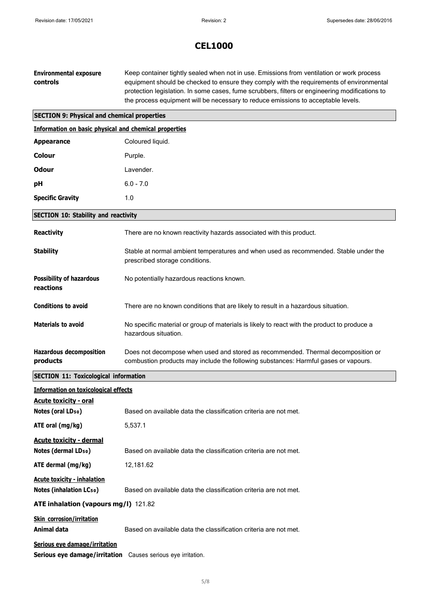| <b>Environmental exposure</b><br>controls                                                     | Keep container tightly sealed when not in use. Emissions from ventilation or work process<br>equipment should be checked to ensure they comply with the requirements of environmental<br>protection legislation. In some cases, fume scrubbers, filters or engineering modifications to<br>the process equipment will be necessary to reduce emissions to acceptable levels. |
|-----------------------------------------------------------------------------------------------|------------------------------------------------------------------------------------------------------------------------------------------------------------------------------------------------------------------------------------------------------------------------------------------------------------------------------------------------------------------------------|
| <b>SECTION 9: Physical and chemical properties</b>                                            |                                                                                                                                                                                                                                                                                                                                                                              |
| Information on basic physical and chemical properties                                         |                                                                                                                                                                                                                                                                                                                                                                              |
| <b>Appearance</b>                                                                             | Coloured liquid.                                                                                                                                                                                                                                                                                                                                                             |
| <b>Colour</b>                                                                                 | Purple.                                                                                                                                                                                                                                                                                                                                                                      |
| <b>Odour</b>                                                                                  | Lavender.                                                                                                                                                                                                                                                                                                                                                                    |
| рH                                                                                            | $6.0 - 7.0$                                                                                                                                                                                                                                                                                                                                                                  |
| <b>Specific Gravity</b>                                                                       | 1.0                                                                                                                                                                                                                                                                                                                                                                          |
| <b>SECTION 10: Stability and reactivity</b>                                                   |                                                                                                                                                                                                                                                                                                                                                                              |
| <b>Reactivity</b>                                                                             | There are no known reactivity hazards associated with this product.                                                                                                                                                                                                                                                                                                          |
| <b>Stability</b>                                                                              | Stable at normal ambient temperatures and when used as recommended. Stable under the<br>prescribed storage conditions.                                                                                                                                                                                                                                                       |
| <b>Possibility of hazardous</b><br>reactions                                                  | No potentially hazardous reactions known.                                                                                                                                                                                                                                                                                                                                    |
| <b>Conditions to avoid</b>                                                                    | There are no known conditions that are likely to result in a hazardous situation.                                                                                                                                                                                                                                                                                            |
| <b>Materials to avoid</b>                                                                     | No specific material or group of materials is likely to react with the product to produce a<br>hazardous situation.                                                                                                                                                                                                                                                          |
| <b>Hazardous decomposition</b><br>products                                                    | Does not decompose when used and stored as recommended. Thermal decomposition or<br>combustion products may include the following substances: Harmful gases or vapours.                                                                                                                                                                                                      |
| <b>SECTION 11: Toxicological information</b>                                                  |                                                                                                                                                                                                                                                                                                                                                                              |
| <b>Information on toxicological effects</b>                                                   |                                                                                                                                                                                                                                                                                                                                                                              |
| <b>Acute toxicity - oral</b>                                                                  |                                                                                                                                                                                                                                                                                                                                                                              |
| Notes (oral LD <sub>50</sub> )                                                                | Based on available data the classification criteria are not met.                                                                                                                                                                                                                                                                                                             |
| ATE oral (mg/kg)                                                                              | 5,537.1                                                                                                                                                                                                                                                                                                                                                                      |
| <b>Acute toxicity - dermal</b>                                                                |                                                                                                                                                                                                                                                                                                                                                                              |
| Notes (dermal LD <sub>50</sub> )                                                              | Based on available data the classification criteria are not met.                                                                                                                                                                                                                                                                                                             |
| ATE dermal (mg/kg)                                                                            | 12,181.62                                                                                                                                                                                                                                                                                                                                                                    |
| <b>Acute toxicity - inhalation</b><br><b>Notes (inhalation LCso)</b>                          | Based on available data the classification criteria are not met.                                                                                                                                                                                                                                                                                                             |
| ATE inhalation (vapours mg/l) 121.82                                                          |                                                                                                                                                                                                                                                                                                                                                                              |
| <b>Skin corrosion/irritation</b><br>Animal data                                               | Based on available data the classification criteria are not met.                                                                                                                                                                                                                                                                                                             |
| Serious eye damage/irritation<br>Serious eye damage/irritation Causes serious eye irritation. |                                                                                                                                                                                                                                                                                                                                                                              |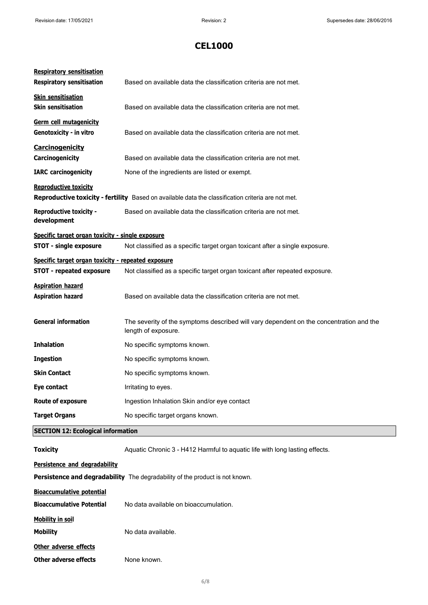| <b>Respiratory sensitisation</b><br><b>Respiratory sensitisation</b>                  | Based on available data the classification criteria are not met.                                               |
|---------------------------------------------------------------------------------------|----------------------------------------------------------------------------------------------------------------|
| <b>Skin sensitisation</b><br><b>Skin sensitisation</b>                                | Based on available data the classification criteria are not met.                                               |
| Germ cell mutagenicity<br>Genotoxicity - in vitro                                     | Based on available data the classification criteria are not met.                                               |
| <b>Carcinogenicity</b><br>Carcinogenicity                                             | Based on available data the classification criteria are not met.                                               |
| <b>IARC</b> carcinogenicity                                                           | None of the ingredients are listed or exempt.                                                                  |
| <b>Reproductive toxicity</b>                                                          |                                                                                                                |
|                                                                                       | Reproductive toxicity - fertility Based on available data the classification criteria are not met.             |
| <b>Reproductive toxicity -</b><br>development                                         | Based on available data the classification criteria are not met.                                               |
| Specific target organ toxicity - single exposure                                      |                                                                                                                |
| <b>STOT - single exposure</b>                                                         | Not classified as a specific target organ toxicant after a single exposure.                                    |
| Specific target organ toxicity - repeated exposure<br><b>STOT - repeated exposure</b> | Not classified as a specific target organ toxicant after repeated exposure.                                    |
| <b>Aspiration hazard</b><br><b>Aspiration hazard</b>                                  | Based on available data the classification criteria are not met.                                               |
| <b>General information</b>                                                            | The severity of the symptoms described will vary dependent on the concentration and the<br>length of exposure. |
| <b>Inhalation</b>                                                                     | No specific symptoms known.                                                                                    |
| <b>Ingestion</b>                                                                      | No specific symptoms known.                                                                                    |
| <b>Skin Contact</b>                                                                   | No specific symptoms known.                                                                                    |
| Eye contact                                                                           | Irritating to eyes.                                                                                            |
| <b>Route of exposure</b>                                                              | Ingestion Inhalation Skin and/or eye contact                                                                   |
| <b>Target Organs</b>                                                                  | No specific target organs known.                                                                               |
| <b>SECTION 12: Ecological information</b>                                             |                                                                                                                |
| <b>Toxicity</b>                                                                       | Aquatic Chronic 3 - H412 Harmful to aquatic life with long lasting effects.                                    |
| Persistence and degradability                                                         |                                                                                                                |
|                                                                                       | Persistence and degradability The degradability of the product is not known.                                   |
| <b>Bioaccumulative potential</b>                                                      |                                                                                                                |
| <b>Bioaccumulative Potential</b>                                                      | No data available on bioaccumulation.                                                                          |
| <b>Mobility in soil</b>                                                               |                                                                                                                |
| <b>Mobility</b>                                                                       | No data available.                                                                                             |
| Other adverse effects                                                                 |                                                                                                                |
| <b>Other adverse effects</b>                                                          | None known.                                                                                                    |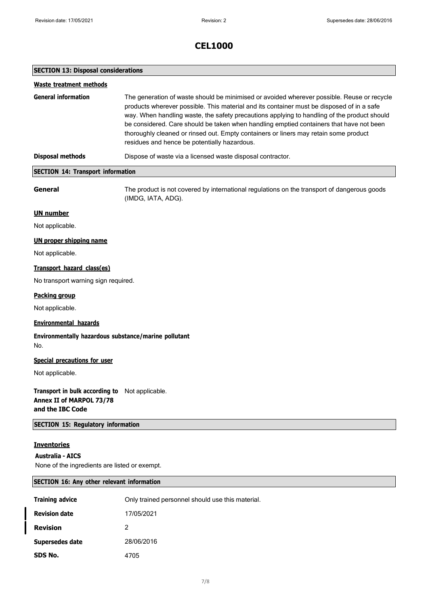#### **SECTION 13: Disposal considerations**

| <b>Waste treatment methods</b>                                                 |                                                                                                                                                                                                                                                                                                                                                                                                                                                                                                                           |
|--------------------------------------------------------------------------------|---------------------------------------------------------------------------------------------------------------------------------------------------------------------------------------------------------------------------------------------------------------------------------------------------------------------------------------------------------------------------------------------------------------------------------------------------------------------------------------------------------------------------|
| <b>General information</b>                                                     | The generation of waste should be minimised or avoided wherever possible. Reuse or recycle<br>products wherever possible. This material and its container must be disposed of in a safe<br>way. When handling waste, the safety precautions applying to handling of the product should<br>be considered. Care should be taken when handling emptied containers that have not been<br>thoroughly cleaned or rinsed out. Empty containers or liners may retain some product<br>residues and hence be potentially hazardous. |
| <b>Disposal methods</b>                                                        | Dispose of waste via a licensed waste disposal contractor.                                                                                                                                                                                                                                                                                                                                                                                                                                                                |
| <b>SECTION 14: Transport information</b>                                       |                                                                                                                                                                                                                                                                                                                                                                                                                                                                                                                           |
| General                                                                        | The product is not covered by international regulations on the transport of dangerous goods<br>(IMDG, IATA, ADG).                                                                                                                                                                                                                                                                                                                                                                                                         |
| <b>UN number</b>                                                               |                                                                                                                                                                                                                                                                                                                                                                                                                                                                                                                           |
| Not applicable.                                                                |                                                                                                                                                                                                                                                                                                                                                                                                                                                                                                                           |
| <b>UN proper shipping name</b>                                                 |                                                                                                                                                                                                                                                                                                                                                                                                                                                                                                                           |
| Not applicable.                                                                |                                                                                                                                                                                                                                                                                                                                                                                                                                                                                                                           |
| Transport hazard class(es)                                                     |                                                                                                                                                                                                                                                                                                                                                                                                                                                                                                                           |
| No transport warning sign required.                                            |                                                                                                                                                                                                                                                                                                                                                                                                                                                                                                                           |
| <b>Packing group</b>                                                           |                                                                                                                                                                                                                                                                                                                                                                                                                                                                                                                           |
| Not applicable.                                                                |                                                                                                                                                                                                                                                                                                                                                                                                                                                                                                                           |
| <b>Environmental hazards</b>                                                   |                                                                                                                                                                                                                                                                                                                                                                                                                                                                                                                           |
| Environmentally hazardous substance/marine pollutant<br>No.                    |                                                                                                                                                                                                                                                                                                                                                                                                                                                                                                                           |
| <b>Special precautions for user</b>                                            |                                                                                                                                                                                                                                                                                                                                                                                                                                                                                                                           |
| Not applicable.                                                                |                                                                                                                                                                                                                                                                                                                                                                                                                                                                                                                           |
| Transport in bulk according to<br>Annex II of MARPOL 73/78<br>and the IBC Code | Not applicable.                                                                                                                                                                                                                                                                                                                                                                                                                                                                                                           |
| <b>SECTION 15: Regulatory information</b>                                      |                                                                                                                                                                                                                                                                                                                                                                                                                                                                                                                           |

### **Inventories**

#### **Australia - AICS**

None of the ingredients are listed or exempt.

#### **SECTION 16: Any other relevant information**

| <b>Training advice</b> | Only trained personnel should use this material. |
|------------------------|--------------------------------------------------|
| <b>Revision date</b>   | 17/05/2021                                       |
| <b>Revision</b>        | 2                                                |
| Supersedes date        | 28/06/2016                                       |
| SDS No.                | 4705                                             |